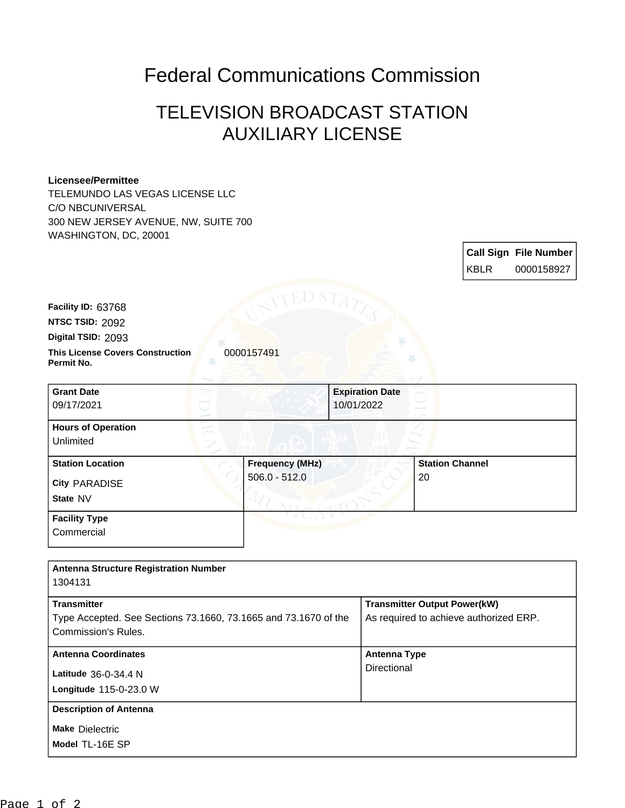## Federal Communications Commission

## TELEVISION BROADCAST STATION AUXILIARY LICENSE

## **Licensee/Permittee**

TELEMUNDO LAS VEGAS LICENSE LLC C/O NBCUNIVERSAL 300 NEW JERSEY AVENUE, NW, SUITE 700 WASHINGTON, DC, 20001

|                                                                                       |                        |                                      |                                                                               |             | <b>Call Sign File Number</b> |
|---------------------------------------------------------------------------------------|------------------------|--------------------------------------|-------------------------------------------------------------------------------|-------------|------------------------------|
|                                                                                       |                        |                                      |                                                                               | <b>KBLR</b> | 0000158927                   |
| Facility ID: 63768<br>NTSC TSID: 2092<br>Digital TSID: 2093                           |                        |                                      |                                                                               |             |                              |
| <b>This License Covers Construction</b><br>Permit No.                                 | 0000157491             |                                      |                                                                               |             |                              |
| <b>Grant Date</b><br>09/17/2021                                                       |                        | <b>Expiration Date</b><br>10/01/2022 |                                                                               |             |                              |
| <b>Hours of Operation</b><br>Unlimited                                                |                        |                                      |                                                                               |             |                              |
| <b>Station Location</b>                                                               | <b>Frequency (MHz)</b> |                                      | <b>Station Channel</b>                                                        |             |                              |
| <b>City PARADISE</b>                                                                  | $506.0 - 512.0$        |                                      | 20                                                                            |             |                              |
| State NV                                                                              |                        |                                      |                                                                               |             |                              |
| <b>Facility Type</b><br>Commercial                                                    |                        |                                      |                                                                               |             |                              |
| <b>Antenna Structure Registration Number</b><br>1304131                               |                        |                                      |                                                                               |             |                              |
| <b>Transmitter</b><br>Type Accepted. See Sections 73.1660, 73.1665 and 73.1670 of the |                        |                                      | <b>Transmitter Output Power(kW)</b><br>As required to achieve authorized ERP. |             |                              |
| <b>Commission's Rules.</b>                                                            |                        |                                      |                                                                               |             |                              |

Directional

**Antenna Coordinates Antenna Type**

Page 1 of 2

**Model** TL-16E SP **Make** Dielectric

**Longitude** 115-0-23.0 W **Latitude** 36-0-34.4 N

**Description of Antenna**